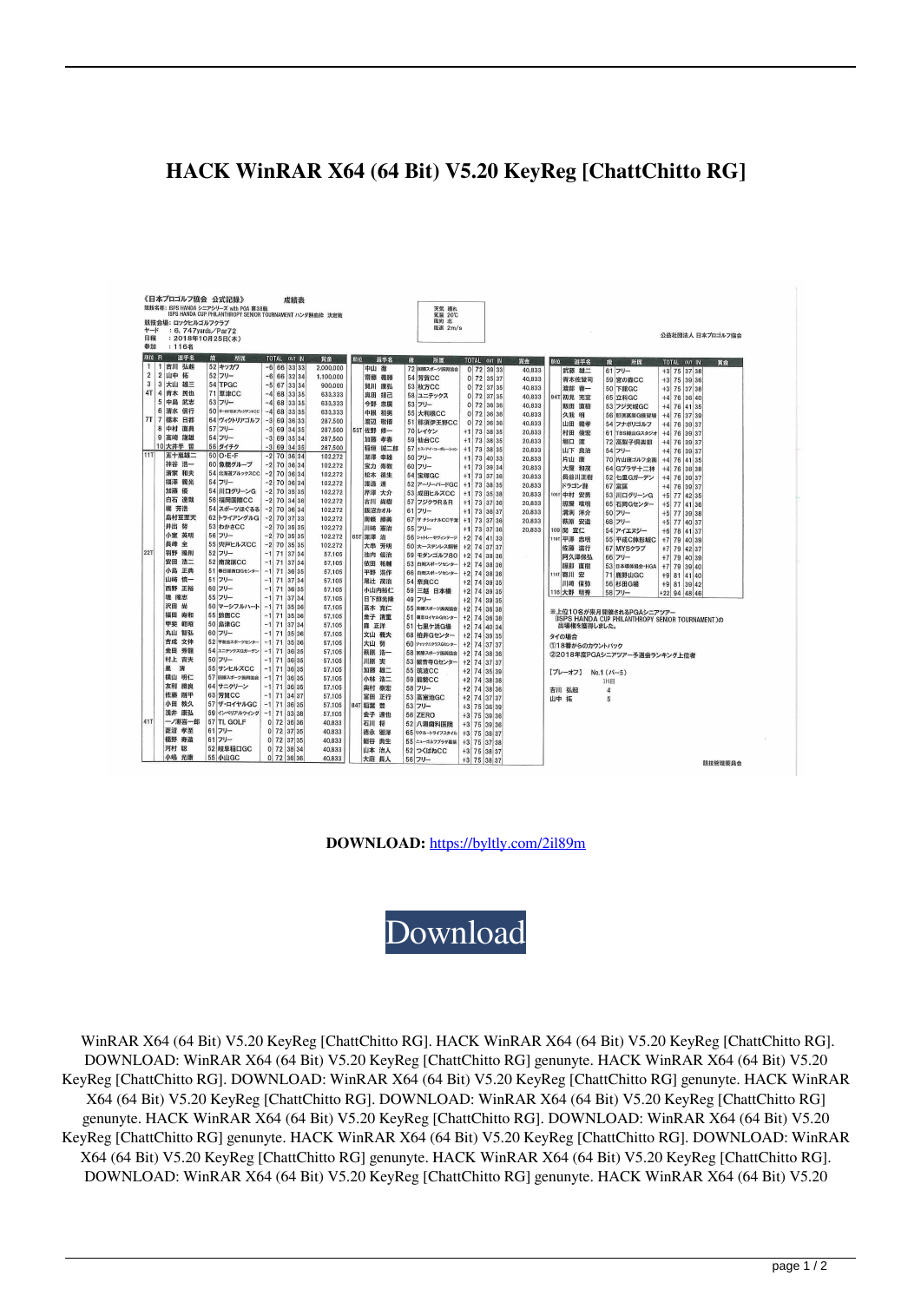## **HACK WinRAR X64 (64 Bit) V5.20 KeyReg [ChattChitto RG]**

| 《日本プロゴルフ協会 公式記録》<br>成績表<br>競技名称: ISPS HANDA シニアシリーズ with PGA 第38戦<br>天気 晴れ |                     |                     |                                      |                                |                                                 |                                                  |                    |
|----------------------------------------------------------------------------|---------------------|---------------------|--------------------------------------|--------------------------------|-------------------------------------------------|--------------------------------------------------|--------------------|
| ISPS HANDA CUP PHILANTHROPY SENIOR TOURNAMENT ハンダ熱血枠 決定戦<br>気温 20℃         |                     |                     |                                      |                                |                                                 |                                                  |                    |
| 風向 北<br>競技会場: ロックヒルゴルフクラブ<br>風速 2m/s                                       |                     |                     |                                      |                                |                                                 |                                                  |                    |
| ヤード<br>日程                                                                  | : 6, 747yards/Par72 |                     |                                      |                                |                                                 |                                                  | 公益社団法人 日本プロゴルフ協会   |
| : 2018年10月25日(木)<br>参加<br>: 116名                                           |                     |                     |                                      |                                |                                                 |                                                  |                    |
|                                                                            |                     |                     |                                      |                                |                                                 |                                                  |                    |
| 颜位 R<br>$\mathbf{1}$                                                       | 選手名<br>1 吉川 弘起      | 微<br>所属<br>52 キッカワ  | TOTAL OUT IN                         | 賞金<br>顺位<br>選手名                | 說<br>所属<br>TOTAL OUT IN<br>賞金                   | 選手名<br>顺位<br>澓<br>所属                             | TOTAL OUT IN<br>賞金 |
| $\overline{2}$                                                             | 2 山中 拓              | 52 フリー              | $-6$ 66 33 33                        | 2,000,000<br>中山 徹              | 72 国際スポーツ振興協会<br>0 72 39 33                     | 40,833<br>武藤 雄二<br>61 フリー                        | +3 75 37 38        |
| 3                                                                          | 3 大山 雄三             | 54 TPGC             | $-6$ 66 32 34                        | 1.100.000<br>齋藤 義勝             | 54 芳賀CC<br>$0$ 72 35 37                         | 40,833<br>青木佐登司<br>59 宮の森CC                      | $+3$ 75 39 36      |
| 4T                                                                         | 4 青木 民也             | 71 草津CC             | $-5$ 67 33 34                        | 900,000<br>賀川 康弘               | <b>53 枚方CC</b><br>0 72 37 35                    | 40.833<br>渡部 善一<br>50 下館GC                       | +3 75 37 38        |
|                                                                            | 5 中島 武志             | 53 フリー              | $-4$ 68 33 35                        | 633,333<br>奥田 靖己               | 58 ユニテックス<br>0 72 37 35                         | 40,833<br>94T 初見 充宣<br>65 立科GC                   | $+4$ 76 36 40      |
|                                                                            | 6 清水 信行             | 50 =- AFEX プレジデントCC | $-4$ 68 33 35                        | 633,333<br>今野 忠廣               | 53 フリー<br>$0$ 72 36 36                          | 40,833<br>飯田 直樹<br>53 フジ天城GC                     | $+4$ 76 41 35      |
|                                                                            | 7T 7 橋本<br>日都       | 64 ヴィクトリアゴルフ        | $-4$ 68 33 35<br>$-3$<br>69<br>36 33 | 633,333<br>中根 初男               | <b>55 大利根CC</b><br>$0$ 72 36 36                 | 40.833<br>久我 明<br>56 那須高原G練習場                    | +4 76 37 39        |
|                                                                            | 8 中村 直典             | 57 フリー              |                                      | 287,500<br>渡辺 敬博               | 51 那須伊王野CC<br>0 72 36 36                        | 40,833<br>山田 義孝<br>54 フナボリゴルフ                    | +4 76 39 37        |
|                                                                            | 9 高崎 龍雄             | 54 フリー              | $-3$<br>69 34 35                     | 287.500<br>佐野 修一<br><b>53T</b> | 70 レイケン<br>$+1$ 73 38 35                        | 20,833<br>村田 俊宏<br>61 TBS繰山Gスタジオ                 | +4 76 39 37        |
|                                                                            | 10 大井手 哲            | 56 ダイチク             | $-3$ 69 35 34                        | 287,500<br>加藤 孝春               | 59 仙台CC<br>+1 73 38 35                          | 堀口 滥<br>20.833<br>72 高梨子倶楽部                      | +4 76 39 37        |
| 11T                                                                        | 五十嵐雄二               | $50$ O.E.F          | $-3$ 69 34 35                        | 287,500<br>稲垣<br>誠二郎           | 57 エス・アイ・コーポレーション<br>$+1$ 73 38 35              | 20.833<br>山下 良治<br>54 フリー                        | +4 76 39 37        |
|                                                                            | 神谷 浩一               | 60 魚橋グループ           | $-2$ 70 36 34<br>$-2$ 70 36 34       | 102,272<br>深澤 幸雄               | 50 フリー<br>$+1$ 73 40 33                         | 20,833<br>片山 康<br>70 片山康ゴルフ企画                    | $+4$ 76 41 35      |
|                                                                            | 清家 和夫               | 54 北海道ブルックスCC       | $-2$ 70 36 34                        | 102,272<br>宝力 寿教               | 60 フリー<br>$+1$ 73 39 34                         | 20.833<br>大屋 和茂<br>64 Gプラザ十二神                    | $+4$ 76 38 38      |
|                                                                            | 福澤 義光               | 54 フリー              | $-2$ 70 36 34                        | 102,272<br>松木 德生               | <b>54 宝塚GC</b><br>$+1$   73   37   36           | 20.833<br>長谷川正樹<br>52 七里Gガーデン                    | +4 76 39 37        |
|                                                                            | 加藤優                 | 54 川口グリーンG          | $-2$ 70 35 35                        | 102,272<br>渡過 達                | 52 アーリーバードGC<br>$+1$ 73 38 35                   | 20,833<br>ドラゴン瀧<br>67 富匡                         | +4 76 39 37        |
|                                                                            | 白石 達哉               | 56 福岡国際CC           | $-2$ 70 34 36                        | 102,272<br>芹澤 大介               | 53 成田ヒルズCC<br>$+1$ 73 35 38                     | 105T 中村 安男<br>20.833<br>53 川口グリーンG               | +5 77 42 35        |
|                                                                            | 堀 芳浩                | 54 スポーツほぐるる         | $-2$ 70 36 34                        | 102,272<br>古川 尚樹               | 57 フジクラR&R<br>$+1$ 73 37 36                     | 20,833<br>照屋 唯明<br>65 石岡Gセンター                    | +5 77 41 36        |
|                                                                            | 島村豆至天               | 62トライアングルG          | $-2$ 70 37 33                        | 102.272<br>飯沼カオル               | 61 フリー<br>$+1$ 73 36 37                         | 20,833<br>溝渕 洋介<br>50 フリー                        | +5 77 39 38        |
|                                                                            | 井出 努                | 53 わかさCC            | $-2$ 70 35 35                        | 102.272<br>南條 勝美               | 67 サナショナルCC千葉<br>+1 73 37 36                    | 20,833<br>萩原 安造<br>68 フリー                        | +5 77 40 37        |
|                                                                            | 小室 英明               | 56 フリー              | $-2$ 70 35 35                        | 102,272<br>川﨑 憲治               | 55 フリー<br>$+1$ 73 37 36                         | 20,833<br>109 閲 宣仁<br>54 アイエヌジー                  | +6 78 41 37        |
|                                                                            | 長峰 全                | 55 宍戸ヒルズCC          | $-2$ 70 35 35                        | 102,272<br>65T 深澤 治            | 56 シャトレーゼヴィンテージ<br>$+2$ 74 41 33                | 1107 平澤 忠明<br>55 平成C鉢形城C                         | $+7$ 79 40 39      |
| 22T                                                                        | 羽野 隆則               | 52 フリー              | $-1$ 71 37 34                        | 102.272<br>大串 芳明               | 50 大一ステンレス鋼管<br>+2 74 37 37                     | 佐藤 滋行<br>67 MYSクラブ                               | +7 79 42 37        |
|                                                                            | 安田 浩二               | 52 南茂原CC            | $-1$ 71 37 34                        | 57.105<br>池内 信治                | 59 モダンゴルフ80<br>$+2$ 74 38 36                    | 阿久澤保弘<br>66 フリー                                  | +7 79 40 39        |
|                                                                            | 小島 正典               | 51 春日部西口Gセンター       | $-1$ 71 36 35                        | 57,105<br>依田 祐輔                | 53 白岡スポーツセンター<br>+2 74 38 36                    | 服部 直樹<br>53 日本導体協会·HGA                           | $+7$ 79 39 40      |
|                                                                            | 山崎 慎一               | 51 フリー              | $-1$ 71 37 34                        | 57,105<br>平野 浩作<br>57,105      | 66 白岡スポーツセンター<br>+2 74 38 36                    | 114T 寄川 宏<br><b>71 鹿野山GC</b>                     | +9 81 41 40        |
|                                                                            | 西野 正裕               | 60 フリー              | $-1$ 71 36 35                        | 尾辻 茂治<br>57,105                | <b>54 奈良CC</b><br>$+2$ 74 39 35                 | 川崎 信弥<br>56 杉田G場                                 | +9 81 39 42        |
|                                                                            | 堤 障志                | 55 フリー              | $-1$ 71 37 34                        | 小山内裕仁<br>57.105                | 59 三越 日本橋<br>$+2$ 74 39 35                      | 116 大野 明秀<br>58 フリー                              | +22 94 48 46       |
|                                                                            | 沢田 尚                | 50 マーシフルハート         | $-1$ 71 35 36                        | 日下部光隆<br>57,105                | 49 フリー<br>$+2$ 74 39 35                         |                                                  |                    |
|                                                                            | 福田 寿和               | <b>55 鈴鹿CC</b>      | $-1$ 71 35 36                        | 高木 克仁<br>57.105                | 55 国際スポーツ振興協会<br>$+2$ 74 36 38                  | ※上位10名が来月開催されるPGAシニアツアー                          |                    |
|                                                                            | 甲斐<br>範昭            | <b>50 島津GC</b>      | $-1$ 71 37 34                        | 金子 清重<br>57.105<br>森 正洋        | 51 喜志ロイヤルGセンター<br>$+2$ 74 36 38                 | (ISPS HANDA CUP PHILANTHROPY SENIOR TOURNAMENT)の |                    |
|                                                                            | 山床<br>智弘            | 60 フリー              | $-1$ 71 35 36                        | 57.105<br>文山 義夫                | 51 七里ケ浜G場<br>$+2$ 74 40 34                      | 出場権を獲得しました。                                      |                    |
|                                                                            | 吉成 文伸               | 52 平和台スポーツセンター      | $-1$ 71 35 36                        | 57.105<br>大山 努                 | 68 柏井Gセンター<br>$+2$ 74 39 35<br>60 ジャックニクラスGセンター | タイの場合                                            |                    |
|                                                                            | 金田 秀龍               | 54 ユニテックスGガーデン      | $-1$ 71<br>36 35                     | 57,105<br>萩原 浩一                | +2 74 37 37<br>58 国際スポーツ振興協会                    | 118番からのカウントバック                                   |                    |
|                                                                            | 村上 吉夫               | 50 フリー              | $-1$ 71 36 35                        | 57.105<br>川原実                  | $+2$ 74 38 36                                   | 22018年度PGAシニアツアー予選会ランキング上位者                      |                    |
|                                                                            | 星<br>清              | 55 サンヒルズCC          | $-1$ 71<br>36 35                     | 57,105<br>加藤 雄二                | $+2$ 74 37 37<br>53 観音寺Gセンター                    |                                                  |                    |
|                                                                            | 横山 明仁               | 57 国際スポーツ振興協会       | $-1$ 71<br>36 35                     | 57,105<br>小林 浩二                | <b>55 筑波CC</b><br>+2 74 35 39<br><b>59 能勢CC</b> | 【プレーオフ】<br>$No.1 (15 - 5)$                       |                    |
|                                                                            | 友利<br>勝良            | 64 サニクリーン           | $-1$ 71 36 35                        | 57.105<br>奥村 泰宏                | $+2$ 74 38 36                                   | 1H目                                              |                    |
|                                                                            | 佐藤 剛平               | 63 芳賀CC             | $-1$ 71 34 37                        | 57.105<br>冨田 正行                | 58 フリー<br>$+2$ 74 38 36<br><b>53 高室池GC</b>      | 吉川 弘起<br>4                                       |                    |
|                                                                            | 小田 教久               | 57 ザ・ロイヤルGC         | $-1$ 71<br>36 35                     | 57,105<br>84T 稲葉 豊             | +2 74 37 37<br>53 フリー<br>+3 75 36 39            | 山中 拓<br>5                                        |                    |
|                                                                            | 浅井 康弘               | 59 インベリアルウイング       | $-1$ 71<br>33 38                     | 57,105<br>金子 達也                | 56 ZERO                                         |                                                  |                    |
| 41T                                                                        | ーノ瀬喜一郎              | 57 TI, GOLF         | 0 72 36 36                           | 40,833<br>石川 将                 | +3 75 39 36<br>52 八潮歯科医院                        |                                                  |                    |
|                                                                            | 菱沼 孝至               | 61 フリー              | 0 72 37 35                           | 40,833<br>徳永 雅洋                | +3 75 39 36<br>65 リクルートライフスタイル                  |                                                  |                    |
|                                                                            | 橋野 寿造               | 61 フリー              | 0 72 37 35                           | 40,833<br>細谷 典生                | +3 75 38 37<br>55 ニューゴルフプラザ基張<br>+3 75 37 38    |                                                  |                    |
|                                                                            | 河村 聡                | 52 岐阜稲口GC           | $0$ 72 38 34                         | 40.833<br>山本 治人                | 52 つくばねCC                                       |                                                  |                    |
|                                                                            | 小嶋 光康               | <b>55 小山GC</b>      | $0$ 72 36 36                         | 40,833<br>大庭 長人                | $+3$ 75 38 37<br>56 フリー                         |                                                  |                    |
|                                                                            |                     |                     |                                      |                                | +3 75 38 37                                     |                                                  | 競技管理委員会            |

**DOWNLOAD:** <https://byltly.com/2il89m>



 WinRAR X64 (64 Bit) V5.20 KeyReg [ChattChitto RG]. HACK WinRAR X64 (64 Bit) V5.20 KeyReg [ChattChitto RG]. DOWNLOAD: WinRAR X64 (64 Bit) V5.20 KeyReg [ChattChitto RG] genunyte. HACK WinRAR X64 (64 Bit) V5.20 KeyReg [ChattChitto RG]. DOWNLOAD: WinRAR X64 (64 Bit) V5.20 KeyReg [ChattChitto RG] genunyte. HACK WinRAR X64 (64 Bit) V5.20 KeyReg [ChattChitto RG]. DOWNLOAD: WinRAR X64 (64 Bit) V5.20 KeyReg [ChattChitto RG] genunyte. HACK WinRAR X64 (64 Bit) V5.20 KeyReg [ChattChitto RG]. DOWNLOAD: WinRAR X64 (64 Bit) V5.20 KeyReg [ChattChitto RG] genunyte. HACK WinRAR X64 (64 Bit) V5.20 KeyReg [ChattChitto RG]. DOWNLOAD: WinRAR X64 (64 Bit) V5.20 KeyReg [ChattChitto RG] genunyte. HACK WinRAR X64 (64 Bit) V5.20 KeyReg [ChattChitto RG]. DOWNLOAD: WinRAR X64 (64 Bit) V5.20 KeyReg [ChattChitto RG] genunyte. HACK WinRAR X64 (64 Bit) V5.20